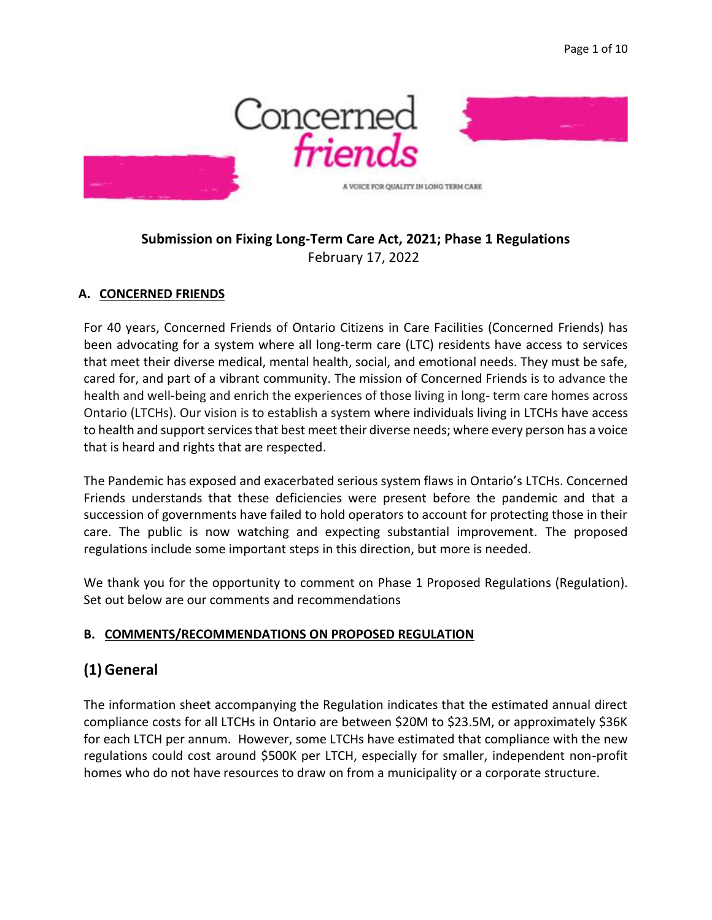

## **Submission on Fixing Long-Term Care Act, 2021; Phase 1 Regulations** February 17, 2022

#### **A. CONCERNED FRIENDS**

For 40 years, Concerned Friends of Ontario Citizens in Care Facilities (Concerned Friends) has been advocating for a system where all long-term care (LTC) residents have access to services that meet their diverse medical, mental health, social, and emotional needs. They must be safe, cared for, and part of a vibrant community. The mission of Concerned Friends is to advance the health and well-being and enrich the experiences of those living in long- term care homes across Ontario (LTCHs). Our vision is to establish a system where individuals living in LTCHs have access to health and support services that best meet their diverse needs; where every person has a voice that is heard and rights that are respected.

The Pandemic has exposed and exacerbated serious system flaws in Ontario's LTCHs. Concerned Friends understands that these deficiencies were present before the pandemic and that a succession of governments have failed to hold operators to account for protecting those in their care. The public is now watching and expecting substantial improvement. The proposed regulations include some important steps in this direction, but more is needed.

We thank you for the opportunity to comment on Phase 1 Proposed Regulations (Regulation). Set out below are our comments and recommendations

#### **B. COMMENTS/RECOMMENDATIONS ON PROPOSED REGULATION**

# **(1)General**

The information sheet accompanying the Regulation indicates that the estimated annual direct compliance costs for all LTCHs in Ontario are between \$20M to \$23.5M, or approximately \$36K for each LTCH per annum. However, some LTCHs have estimated that compliance with the new regulations could cost around \$500K per LTCH, especially for smaller, independent non-profit homes who do not have resources to draw on from a municipality or a corporate structure.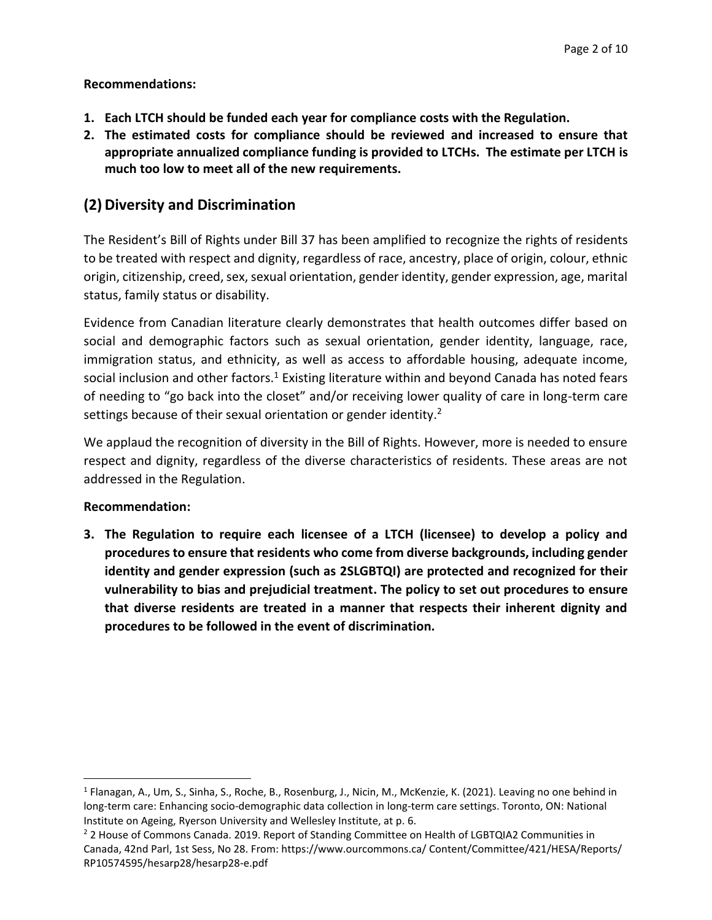#### **Recommendations:**

- **1. Each LTCH should be funded each year for compliance costs with the Regulation.**
- **2. The estimated costs for compliance should be reviewed and increased to ensure that appropriate annualized compliance funding is provided to LTCHs. The estimate per LTCH is much too low to meet all of the new requirements.**

# **(2)Diversity and Discrimination**

The Resident's Bill of Rights under Bill 37 has been amplified to recognize the rights of residents to be treated with respect and dignity, regardless of race, ancestry, place of origin, colour, ethnic origin, citizenship, creed, sex, sexual orientation, gender identity, gender expression, age, marital status, family status or disability.

Evidence from Canadian literature clearly demonstrates that health outcomes differ based on social and demographic factors such as sexual orientation, gender identity, language, race, immigration status, and ethnicity, as well as access to affordable housing, adequate income, social inclusion and other factors.<sup>1</sup> Existing literature within and beyond Canada has noted fears of needing to "go back into the closet" and/or receiving lower quality of care in long-term care settings because of their sexual orientation or gender identity.<sup>2</sup>

We applaud the recognition of diversity in the Bill of Rights. However, more is needed to ensure respect and dignity, regardless of the diverse characteristics of residents. These areas are not addressed in the Regulation.

#### **Recommendation:**

**3. The Regulation to require each licensee of a LTCH (licensee) to develop a policy and procedures to ensure that residents who come from diverse backgrounds, including gender identity and gender expression (such as 2SLGBTQI) are protected and recognized for their vulnerability to bias and prejudicial treatment. The policy to set out procedures to ensure that diverse residents are treated in a manner that respects their inherent dignity and procedures to be followed in the event of discrimination.**

<sup>&</sup>lt;sup>1</sup> Flanagan, A., Um, S., Sinha, S., Roche, B., Rosenburg, J., Nicin, M., McKenzie, K. (2021). Leaving no one behind in long-term care: Enhancing socio-demographic data collection in long-term care settings. Toronto, ON: National Institute on Ageing, Ryerson University and Wellesley Institute, at p. 6.

<sup>&</sup>lt;sup>2</sup> 2 House of Commons Canada. 2019. Report of Standing Committee on Health of LGBTQIA2 Communities in Canada, 42nd Parl, 1st Sess, No 28. From: https://www.ourcommons.ca/ Content/Committee/421/HESA/Reports/ RP10574595/hesarp28/hesarp28-e.pdf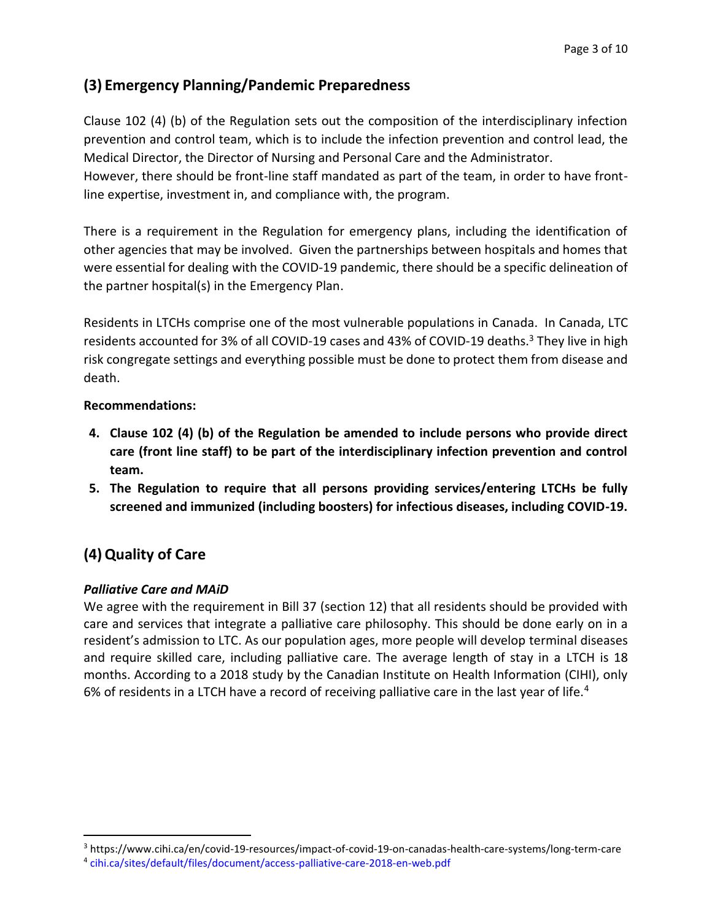# **(3) Emergency Planning/Pandemic Preparedness**

Clause 102 (4) (b) of the Regulation sets out the composition of the interdisciplinary infection prevention and control team, which is to include the infection prevention and control lead, the Medical Director, the Director of Nursing and Personal Care and the Administrator.

However, there should be front-line staff mandated as part of the team, in order to have frontline expertise, investment in, and compliance with, the program.

There is a requirement in the Regulation for emergency plans, including the identification of other agencies that may be involved. Given the partnerships between hospitals and homes that were essential for dealing with the COVID-19 pandemic, there should be a specific delineation of the partner hospital(s) in the Emergency Plan.

Residents in LTCHs comprise one of the most vulnerable populations in Canada. In Canada, LTC residents accounted for 3% of all COVID-19 cases and 43% of COVID-19 deaths.<sup>3</sup> They live in high risk congregate settings and everything possible must be done to protect them from disease and death.

## **Recommendations:**

- **4. Clause 102 (4) (b) of the Regulation be amended to include persons who provide direct care (front line staff) to be part of the interdisciplinary infection prevention and control team.**
- **5. The Regulation to require that all persons providing services/entering LTCHs be fully screened and immunized (including boosters) for infectious diseases, including COVID-19.**

# **(4)Quality of Care**

## *Palliative Care and MAiD*

We agree with the requirement in Bill 37 (section 12) that all residents should be provided with care and services that integrate a palliative care philosophy. This should be done early on in a resident's admission to LTC. As our population ages, more people will develop terminal diseases and require skilled care, including palliative care. The average length of stay in a LTCH is 18 months. According to a 2018 study by the Canadian Institute on Health Information (CIHI), only 6% of residents in a LTCH have a record of receiving palliative care in the last year of life.<sup>4</sup>

<sup>3</sup> https://www.cihi.ca/en/covid-19-resources/impact-of-covid-19-on-canadas-health-care-systems/long-term-care

<sup>4</sup> cihi.ca/sites/default/files/document/access-palliative-care-2018-en-web.pdf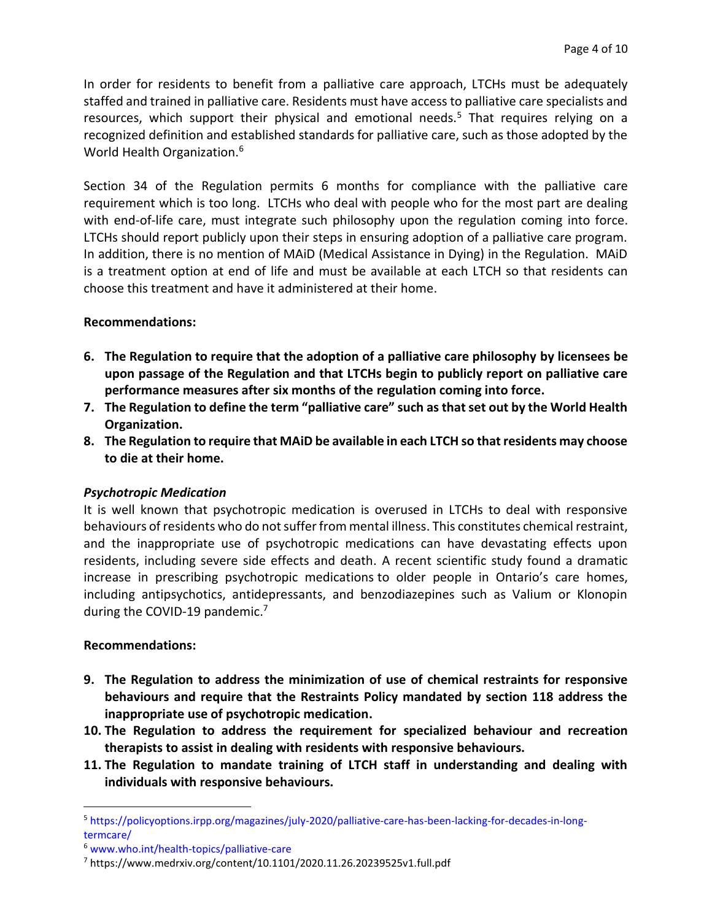In order for residents to benefit from a palliative care approach, LTCHs must be adequately staffed and trained in palliative care. Residents must have access to palliative care specialists and resources, which support their physical and emotional needs.<sup>5</sup> That requires relying on a recognized definition and established standards for palliative care, such as those adopted by the World Health Organization.<sup>6</sup>

Section 34 of the Regulation permits 6 months for compliance with the palliative care requirement which is too long. LTCHs who deal with people who for the most part are dealing with end-of-life care, must integrate such philosophy upon the regulation coming into force. LTCHs should report publicly upon their steps in ensuring adoption of a palliative care program. In addition, there is no mention of MAiD (Medical Assistance in Dying) in the Regulation. MAiD is a treatment option at end of life and must be available at each LTCH so that residents can choose this treatment and have it administered at their home.

#### **Recommendations:**

- **6. The Regulation to require that the adoption of a palliative care philosophy by licensees be upon passage of the Regulation and that LTCHs begin to publicly report on palliative care performance measures after six months of the regulation coming into force.**
- **7. The Regulation to define the term "palliative care" such as that set out by the World Health Organization.**
- **8. The Regulation to require that MAiD be available in each LTCH so that residents may choose to die at their home.**

## *Psychotropic Medication*

It is well known that psychotropic medication is overused in LTCHs to deal with responsive behaviours of residents who do not suffer from mental illness. This constitutes chemical restraint, and the inappropriate use of psychotropic medications can have devastating effects upon residents, including severe side effects and death. A recent scientific study found a dramatic increase in prescribing psychotropic medications to older people in Ontario's care homes, including antipsychotics, antidepressants, and benzodiazepines such as Valium or Klonopin during the COVID-19 pandemic.<sup>7</sup>

#### **Recommendations:**

- **9. The Regulation to address the minimization of use of chemical restraints for responsive behaviours and require that the Restraints Policy mandated by section 118 address the inappropriate use of psychotropic medication.**
- **10. The Regulation to address the requirement for specialized behaviour and recreation therapists to assist in dealing with residents with responsive behaviours.**
- **11. The Regulation to mandate training of LTCH staff in understanding and dealing with individuals with responsive behaviours.**

<sup>5</sup> https://policyoptions.irpp.org/magazines/july-2020/palliative-care-has-been-lacking-for-decades-in-longtermcare/

<sup>6</sup> www.who.int/health-topics/palliative-care

<sup>7</sup> https://www.medrxiv.org/content/10.1101/2020.11.26.20239525v1.full.pdf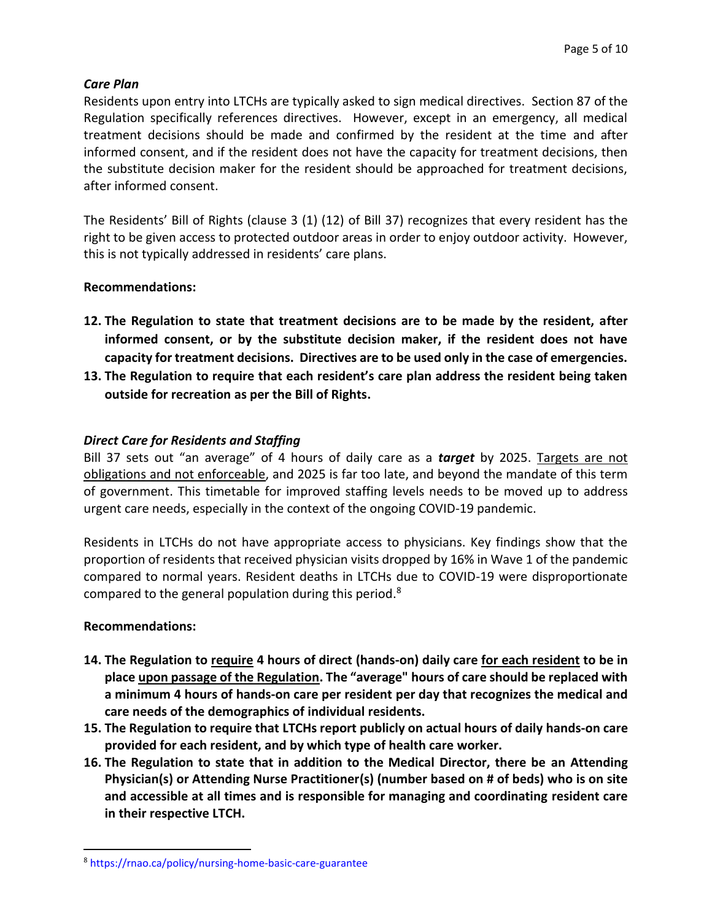#### *Care Plan*

Residents upon entry into LTCHs are typically asked to sign medical directives. Section 87 of the Regulation specifically references directives. However, except in an emergency, all medical treatment decisions should be made and confirmed by the resident at the time and after informed consent, and if the resident does not have the capacity for treatment decisions, then the substitute decision maker for the resident should be approached for treatment decisions, after informed consent.

The Residents' Bill of Rights (clause 3 (1) (12) of Bill 37) recognizes that every resident has the right to be given access to protected outdoor areas in order to enjoy outdoor activity. However, this is not typically addressed in residents' care plans.

#### **Recommendations:**

- **12. The Regulation to state that treatment decisions are to be made by the resident, after informed consent, or by the substitute decision maker, if the resident does not have capacity for treatment decisions. Directives are to be used only in the case of emergencies.**
- **13. The Regulation to require that each resident's care plan address the resident being taken outside for recreation as per the Bill of Rights.**

#### *Direct Care for Residents and Staffing*

Bill 37 sets out "an average" of 4 hours of daily care as a *target* by 2025. Targets are not obligations and not enforceable, and 2025 is far too late, and beyond the mandate of this term of government. This timetable for improved staffing levels needs to be moved up to address urgent care needs, especially in the context of the ongoing COVID-19 pandemic.

Residents in LTCHs do not have appropriate access to physicians. Key findings show that the proportion of residents that received physician visits dropped by 16% in Wave 1 of the pandemic compared to normal years. Resident deaths in LTCHs due to COVID-19 were disproportionate compared to the general population during this period.<sup>8</sup>

#### **Recommendations:**

- **14. The Regulation to require 4 hours of direct (hands-on) daily care for each resident to be in place upon passage of the Regulation. The "average" hours of care should be replaced with a minimum 4 hours of hands-on care per resident per day that recognizes the medical and care needs of the demographics of individual residents.**
- **15. The Regulation to require that LTCHs report publicly on actual hours of daily hands-on care provided for each resident, and by which type of health care worker.**
- **16. The Regulation to state that in addition to the Medical Director, there be an Attending Physician(s) or Attending Nurse Practitioner(s) (number based on # of beds) who is on site and accessible at all times and is responsible for managing and coordinating resident care in their respective LTCH.**

<sup>8</sup> https://rnao.ca/policy/nursing-home-basic-care-guarantee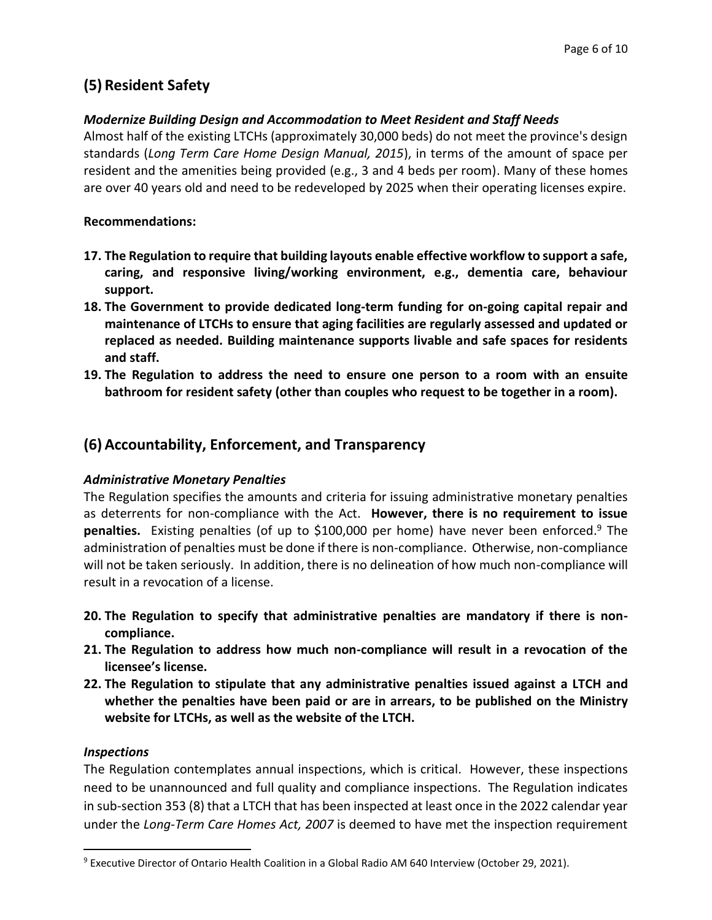# **(5) Resident Safety**

## *Modernize Building Design and Accommodation to Meet Resident and Staff Needs*

Almost half of the existing LTCHs (approximately 30,000 beds) do not meet the province's design standards (*Long Term Care Home Design Manual, 2015*), in terms of the amount of space per resident and the amenities being provided (e.g., 3 and 4 beds per room). Many of these homes are over 40 years old and need to be redeveloped by 2025 when their operating licenses expire.

### **Recommendations:**

- **17. The Regulation to require that building layouts enable effective workflow to support a safe, caring, and responsive living/working environment, e.g., dementia care, behaviour support.**
- **18. The Government to provide dedicated long-term funding for on-going capital repair and maintenance of LTCHs to ensure that aging facilities are regularly assessed and updated or replaced as needed. Building maintenance supports livable and safe spaces for residents and staff.**
- **19. The Regulation to address the need to ensure one person to a room with an ensuite bathroom for resident safety (other than couples who request to be together in a room).**

# **(6) Accountability, Enforcement, and Transparency**

## *Administrative Monetary Penalties*

The Regulation specifies the amounts and criteria for issuing administrative monetary penalties as deterrents for non-compliance with the Act. **However, there is no requirement to issue penalties.** Existing penalties (of up to \$100,000 per home) have never been enforced. <sup>9</sup> The administration of penalties must be done if there is non-compliance. Otherwise, non-compliance will not be taken seriously. In addition, there is no delineation of how much non-compliance will result in a revocation of a license.

- **20. The Regulation to specify that administrative penalties are mandatory if there is noncompliance.**
- **21. The Regulation to address how much non-compliance will result in a revocation of the licensee's license.**
- **22. The Regulation to stipulate that any administrative penalties issued against a LTCH and whether the penalties have been paid or are in arrears, to be published on the Ministry website for LTCHs, as well as the website of the LTCH.**

## *Inspections*

The Regulation contemplates annual inspections, which is critical. However, these inspections need to be unannounced and full quality and compliance inspections. The Regulation indicates in sub-section 353 (8) that a LTCH that has been inspected at least once in the 2022 calendar year under the *Long-Term Care Homes Act, 2007* is deemed to have met the inspection requirement

<sup>&</sup>lt;sup>9</sup> Executive Director of Ontario Health Coalition in a Global Radio AM 640 Interview (October 29, 2021).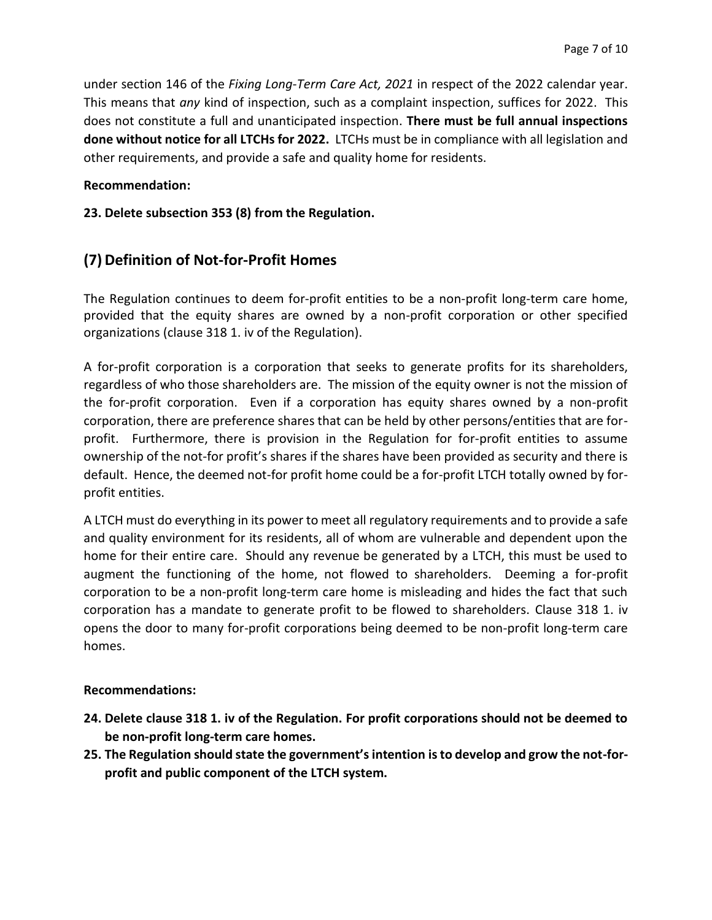under section 146 of the *Fixing Long-Term Care Act, 2021* in respect of the 2022 calendar year. This means that *any* kind of inspection, such as a complaint inspection, suffices for 2022. This does not constitute a full and unanticipated inspection. **There must be full annual inspections done without notice for all LTCHs for 2022.** LTCHs must be in compliance with all legislation and other requirements, and provide a safe and quality home for residents.

#### **Recommendation:**

#### **23. Delete subsection 353 (8) from the Regulation.**

# **(7)Definition of Not-for-Profit Homes**

The Regulation continues to deem for-profit entities to be a non-profit long-term care home, provided that the equity shares are owned by a non-profit corporation or other specified organizations (clause 318 1. iv of the Regulation).

A for-profit corporation is a corporation that seeks to generate profits for its shareholders, regardless of who those shareholders are. The mission of the equity owner is not the mission of the for-profit corporation. Even if a corporation has equity shares owned by a non-profit corporation, there are preference shares that can be held by other persons/entities that are forprofit. Furthermore, there is provision in the Regulation for for-profit entities to assume ownership of the not-for profit's shares if the shares have been provided as security and there is default. Hence, the deemed not-for profit home could be a for-profit LTCH totally owned by forprofit entities.

A LTCH must do everything in its power to meet all regulatory requirements and to provide a safe and quality environment for its residents, all of whom are vulnerable and dependent upon the home for their entire care. Should any revenue be generated by a LTCH, this must be used to augment the functioning of the home, not flowed to shareholders. Deeming a for-profit corporation to be a non-profit long-term care home is misleading and hides the fact that such corporation has a mandate to generate profit to be flowed to shareholders. Clause 318 1. iv opens the door to many for-profit corporations being deemed to be non-profit long-term care homes.

#### **Recommendations:**

- **24. Delete clause 318 1. iv of the Regulation. For profit corporations should not be deemed to be non-profit long-term care homes.**
- **25. The Regulation should state the government's intention isto develop and grow the not-forprofit and public component of the LTCH system.**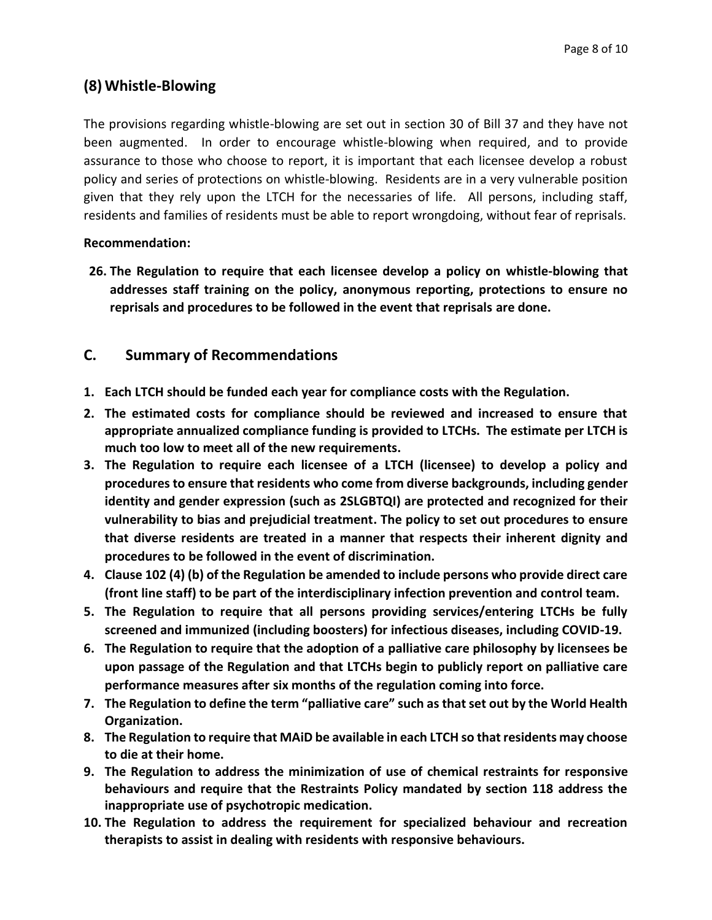# **(8) Whistle-Blowing**

The provisions regarding whistle-blowing are set out in section 30 of Bill 37 and they have not been augmented. In order to encourage whistle-blowing when required, and to provide assurance to those who choose to report, it is important that each licensee develop a robust policy and series of protections on whistle-blowing. Residents are in a very vulnerable position given that they rely upon the LTCH for the necessaries of life. All persons, including staff, residents and families of residents must be able to report wrongdoing, without fear of reprisals.

#### **Recommendation:**

**26. The Regulation to require that each licensee develop a policy on whistle-blowing that addresses staff training on the policy, anonymous reporting, protections to ensure no reprisals and procedures to be followed in the event that reprisals are done.**

# **C. Summary of Recommendations**

- **1. Each LTCH should be funded each year for compliance costs with the Regulation.**
- **2. The estimated costs for compliance should be reviewed and increased to ensure that appropriate annualized compliance funding is provided to LTCHs. The estimate per LTCH is much too low to meet all of the new requirements.**
- **3. The Regulation to require each licensee of a LTCH (licensee) to develop a policy and procedures to ensure that residents who come from diverse backgrounds, including gender identity and gender expression (such as 2SLGBTQI) are protected and recognized for their vulnerability to bias and prejudicial treatment. The policy to set out procedures to ensure that diverse residents are treated in a manner that respects their inherent dignity and procedures to be followed in the event of discrimination.**
- **4. Clause 102 (4) (b) of the Regulation be amended to include persons who provide direct care (front line staff) to be part of the interdisciplinary infection prevention and control team.**
- **5. The Regulation to require that all persons providing services/entering LTCHs be fully screened and immunized (including boosters) for infectious diseases, including COVID-19.**
- **6. The Regulation to require that the adoption of a palliative care philosophy by licensees be upon passage of the Regulation and that LTCHs begin to publicly report on palliative care performance measures after six months of the regulation coming into force.**
- **7. The Regulation to define the term "palliative care" such as that set out by the World Health Organization.**
- **8. The Regulation to require that MAiD be available in each LTCH so that residents may choose to die at their home.**
- **9. The Regulation to address the minimization of use of chemical restraints for responsive behaviours and require that the Restraints Policy mandated by section 118 address the inappropriate use of psychotropic medication.**
- **10. The Regulation to address the requirement for specialized behaviour and recreation therapists to assist in dealing with residents with responsive behaviours.**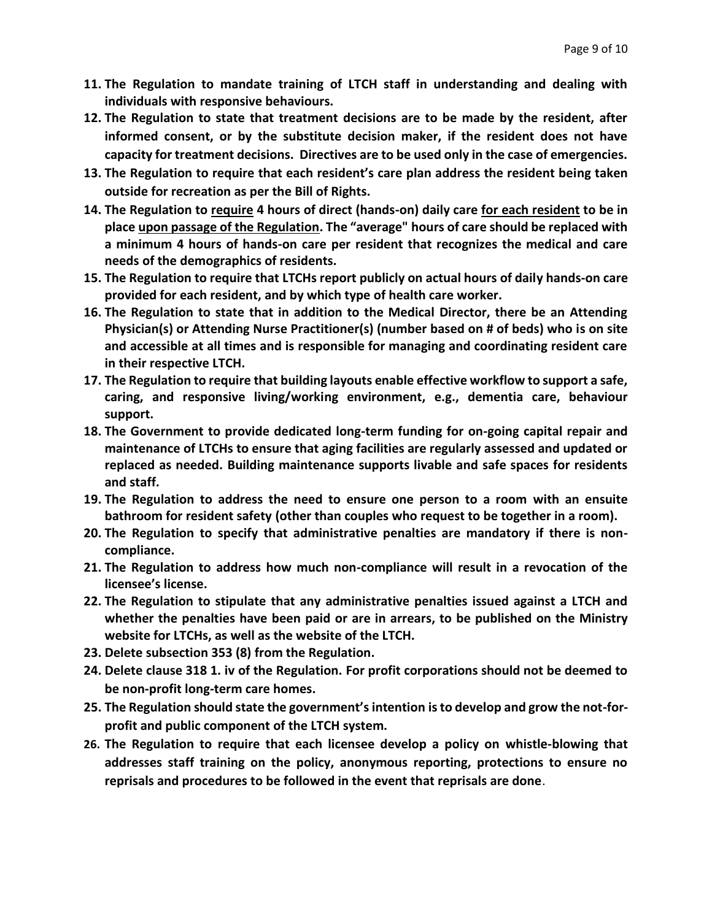- **11. The Regulation to mandate training of LTCH staff in understanding and dealing with individuals with responsive behaviours.**
- **12. The Regulation to state that treatment decisions are to be made by the resident, after informed consent, or by the substitute decision maker, if the resident does not have capacity for treatment decisions. Directives are to be used only in the case of emergencies.**
- **13. The Regulation to require that each resident's care plan address the resident being taken outside for recreation as per the Bill of Rights.**
- **14. The Regulation to require 4 hours of direct (hands-on) daily care for each resident to be in place upon passage of the Regulation. The "average" hours of care should be replaced with a minimum 4 hours of hands-on care per resident that recognizes the medical and care needs of the demographics of residents.**
- **15. The Regulation to require that LTCHs report publicly on actual hours of daily hands-on care provided for each resident, and by which type of health care worker.**
- **16. The Regulation to state that in addition to the Medical Director, there be an Attending Physician(s) or Attending Nurse Practitioner(s) (number based on # of beds) who is on site and accessible at all times and is responsible for managing and coordinating resident care in their respective LTCH.**
- **17. The Regulation to require that building layouts enable effective workflow to support a safe, caring, and responsive living/working environment, e.g., dementia care, behaviour support.**
- **18. The Government to provide dedicated long-term funding for on-going capital repair and maintenance of LTCHs to ensure that aging facilities are regularly assessed and updated or replaced as needed. Building maintenance supports livable and safe spaces for residents and staff.**
- **19. The Regulation to address the need to ensure one person to a room with an ensuite bathroom for resident safety (other than couples who request to be together in a room).**
- **20. The Regulation to specify that administrative penalties are mandatory if there is noncompliance.**
- **21. The Regulation to address how much non-compliance will result in a revocation of the licensee's license.**
- **22. The Regulation to stipulate that any administrative penalties issued against a LTCH and whether the penalties have been paid or are in arrears, to be published on the Ministry website for LTCHs, as well as the website of the LTCH.**
- **23. Delete subsection 353 (8) from the Regulation.**
- **24. Delete clause 318 1. iv of the Regulation. For profit corporations should not be deemed to be non-profit long-term care homes.**
- **25. The Regulation should state the government's intention isto develop and grow the not-forprofit and public component of the LTCH system.**
- **26. The Regulation to require that each licensee develop a policy on whistle-blowing that addresses staff training on the policy, anonymous reporting, protections to ensure no reprisals and procedures to be followed in the event that reprisals are done**.